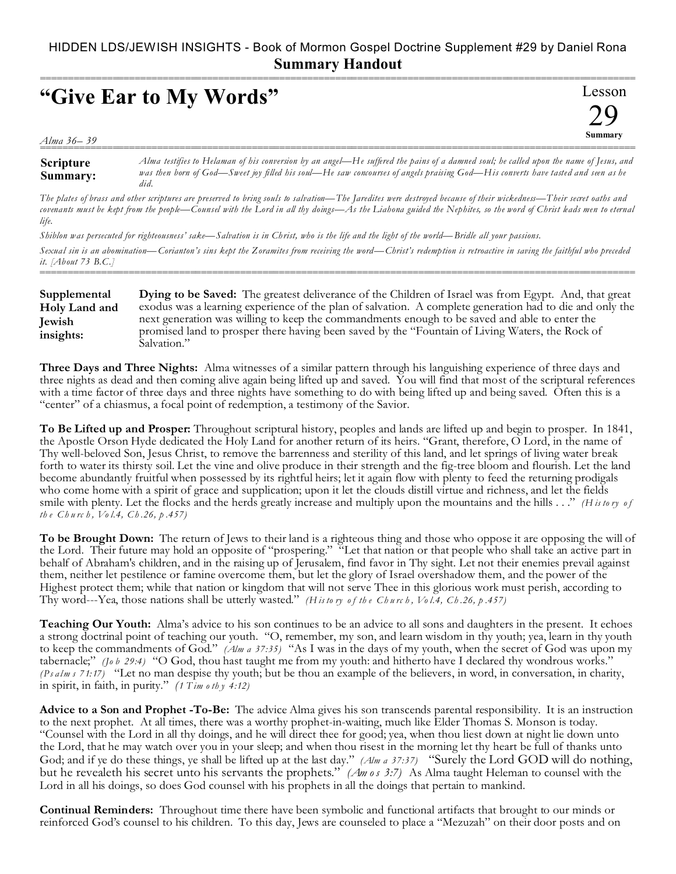## HIDDEN LDS/JEWISH INSIGHTS - Book of Mormon Gospel Doctrine Supplement #29 by Daniel Rona **Summary Handout**

## =========================================================================================================== **"Give Ear to My Words"**

*Alma 36– 39*

**Scripture Summary:** =========================================================================================================== *Alma testifies to Helaman of his conversion by an angel—He suffered the pains of a damned soul; he called upon the name of Jesus, and was then born of God—Sweet joy filled his soul—He saw concourses of angels praising God—His converts have tasted and seen as he did.*

Lesson

29 **Summary**

*The plates of brass and other scriptures are preserved to bring souls to salvation—The Jaredites were destroyed because of their wickedness—Their secret oaths and covenants must be kept from the people—Counsel with the Lord in all thy doings—As the Liahona guided the Nephites, so the word of Christ leads men to eternal life.*

*Shiblon was persecuted for righteousness' sake—Salvation is in Christ, who is the life and the light of the world—Bridle all your passions.*

*Sexua l sin is an abomination—Corianton's sins kept the Zoramites from receiving the word—Christ's redemption is retroactive in saving the faithful who preceded it. [About 73 B.C.]* ===========================================================================================================

**Dying to be Saved:** The greatest deliverance of the Children of Israel was from Egypt. And, that great exodus was a learning experience of the plan of salvation. A complete generation had to die and only the next generation was willing to keep the commandments enough to be saved and able to enter the promised land to prosper there having been saved by the "Fountain of Living Waters, the Rock of Salvation." **Supplemental Holy Land and Jewish insights:**

**Three Days and Three Nights:** Alma witnesses of a similar pattern through his languishing experience of three days and three nights as dead and then coming alive again being lifted up and saved. You will find that most of the scriptural references with a time factor of three days and three nights have something to do with being lifted up and being saved. Often this is a "center" of a chiasmus, a focal point of redemption, a testimony of the Savior.

**To Be Lifted up and Prosper:** Throughout scriptural history, peoples and lands are lifted up and begin to prosper. In 1841, the Apostle Orson Hyde dedicated the Holy Land for another return of its heirs. "Grant, therefore, O Lord, in the name of Thy well-beloved Son, Jesus Christ, to remove the barrenness and sterility of this land, and let springs of living water break forth to water its thirsty soil. Let the vine and olive produce in their strength and the fig-tree bloom and flourish. Let the land become abundantly fruitful when possessed by its rightful heirs; let it again flow with plenty to feed the returning prodigals who come home with a spirit of grace and supplication; upon it let the clouds distill virtue and richness, and let the fields smile with plenty. Let the flocks and the herds greatly increase and multiply upon the mountains and the hills . . ." *(H is to ry of th e Ch u rc h , Vo l.4, Ch .26, p .457)*

**To be Brought Down:** The return of Jews to their land is a righteous thing and those who oppose it are opposing the will of the Lord. Their future may hold an opposite of "prospering." "Let that nation or that people who shall take an active part in behalf of Abraham's children, and in the raising up of Jerusalem, find favor in Thy sight. Let not their enemies prevail against them, neither let pestilence or famine overcome them, but let the glory of Israel overshadow them, and the power of the Highest protect them; while that nation or kingdom that will not serve Thee in this glorious work must perish, according to Thy word---Yea, those nations shall be utterly wasted." *(H is to ry o f th e Ch u rc h , Vo l.4, Ch .26, p .457)*

**Teaching Our Youth:** Alma's advice to his son continues to be an advice to all sons and daughters in the present. It echoes a strong doctrinal point of teaching our youth. "O, remember, my son, and learn wisdom in thy youth; yea, learn in thy youth to keep the commandments of God." *(Alm a 37:35)* "As I was in the days of my youth, when the secret of God was upon my tabernacle;" *(Jo b 29:4)* "O God, thou hast taught me from my youth: and hitherto have I declared thy wondrous works." *(Ps alm s 71:17)* "Let no man despise thy youth; but be thou an example of the believers, in word, in conversation, in charity, in spirit, in faith, in purity."  $(1 \text{ Tim} \text{ o } tb \text{ y } 4:12)$ 

**Advice to a Son and Prophet -To-Be:** The advice Alma gives his son transcends parental responsibility. It is an instruction to the next prophet. At all times, there was a worthy prophet-in-waiting, much like Elder Thomas S. Monson is today. "Counsel with the Lord in all thy doings, and he will direct thee for good; yea, when thou liest down at night lie down unto the Lord, that he may watch over you in your sleep; and when thou risest in the morning let thy heart be full of thanks unto God; and if ye do these things, ye shall be lifted up at the last day." *(Alm a 37:37)* "Surely the Lord GOD will do nothing, but he revealeth his secret unto his servants the prophets." *(Am os 3:7)* As Alma taught Heleman to counsel with the Lord in all his doings, so does God counsel with his prophets in all the doings that pertain to mankind.

**Continual Reminders:** Throughout time there have been symbolic and functional artifacts that brought to our minds or reinforced God's counsel to his children. To this day, Jews are counseled to place a "Mezuzah" on their door posts and on